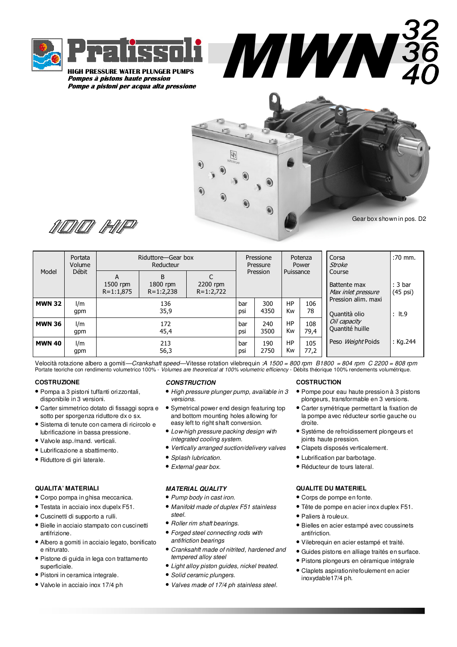

HIGH PRESSURE WATER PLUNGER PUMPS Pompes à pistons haute pression Pompe a pistoni per acqua alta pressione



MWN



| Model         | Portata<br>Volume<br>Débit | Riduttore-Gear box<br>Reducteur |                                  |                           | Pressione<br>Pressure |             | Potenza<br>Power |             | Corsa<br>Stroke                              | $:70 \text{ mm}$ .                       |
|---------------|----------------------------|---------------------------------|----------------------------------|---------------------------|-----------------------|-------------|------------------|-------------|----------------------------------------------|------------------------------------------|
|               |                            | А<br>1500 rpm<br>$R = 1:1,875$  | B<br>$1800$ rpm<br>$R = 1:2,238$ | 2200 rpm<br>$R = 1:2,722$ |                       | Pression    | Puissance        |             | Course<br>Battente max<br>Max inlet pressure | : 3 <sub>bar</sub><br>$(45 \text{ psi})$ |
| <b>MWN 32</b> | 1/m<br>qpm                 |                                 | 136<br>35,9                      |                           | bar<br>psi            | 300<br>4350 | HP<br>Kw         | 106<br>78   | Pression alim. maxi<br>Quantità olio         | $:$ It.9                                 |
| <b>MWN 36</b> | 1/m<br>qpm                 | 172<br>45,4                     |                                  |                           | bar<br>psi            | 240<br>3500 | HP<br>Kw         | 108<br>79,4 | Oil capacity<br>Quantité huille              |                                          |
| <b>MWN 40</b> | 1/m<br>gpm                 |                                 | 213<br>56,3                      |                           | bar<br>psi            | 190<br>2750 | HP<br>Kw         | 105<br>77,2 | Peso Weight Poids                            | : $Kg.244$                               |

Velocità rotazione albero a gomiti—Crankshaft speed—Vitesse rotation vilebrequin :A 1500 = 800 rpm B1800 = 804 rpm C 2200 = 808 rpm Portate teoriche con rendimento volumetrico 100% - Volumes are theoretical at 100% volumetric efficiency - Débits théorique 100% rendements volumétrique.

# **COSTRUZIONE**

- Pompa a 3 pistoni tuffanti orizzontali, disponibile in 3 versioni.
- Carter simmetrico dotato di fissaggi sopra e sotto per sporgenza riduttore dx o sx.
- Sistema di tenute con camera di ricircolo e
- lubrificazione in bassa pressione.
- Valvole asp./mand. verticali.
- Lubrificazione a sbattimento.
- Riduttore di giri laterale.

# **QUALITA' MATERIALI**

- Corpo pompa in ghisa meccanica.
- Testata in acciaio inox dupelx F51.
- Cuscinetti di supporto a rulli.
- Bielle in acciaio stampato con cuscinetti antifrizione.
- Albero a gomiti in acciaio legato, bonificato e nitrurato.
- Pistone di guida in lega con trattamento superficiale.
- Pistoni in ceramica integrale.
- Valvole in acciaio inox 17/4 ph

#### **CONSTRUCTION**

- High pressure plunger pump, available in 3 versions.
- Symetrical power end design featuring top and bottom mounting holes allowing for easy left to right shaft conversion.
- Low-high pressure packing design with integrated cooling system.
- Vertically arranged suction/delivery valves
- Splash lubrication.
- External gear box.
- **MATERIAL QUALITY**
- Pump body in cast iron.
- Manifold made of duplex F51 stainless steel.
- Roller rim shaft bearings.
- Forged steel connecting rods with antifriction bearings
- Cranksahft made of nitrited, hardened and tempered alloy steel
- Light alloy piston guides, nickel treated.
- Solid ceramic plungers.
- Valves made of 17/4 ph stainless steel.

### **COSTRUCTION**

- Pompe pour eau haute pression à 3 pistons plongeurs, transformable en 3 versions.
- Carter symétrique permettant la fixation de la pompe avec réducteur sortie gauche ou droite.
- Systéme de refroidissement plongeurs et joints haute pression.
- Clapets disposés verticalement.
- Lubrification par barbotage.
- Réducteur de tours lateral.

### **QUALITE DU MATERIEL**

- Corps de pompe en fonte.
- Tête de pompe en acier inox duplex F51.
- Paliers à rouleux.
- Bielles en acier estampé avec coussinets antifriction.
- Vilebrequin en acier estampé et traité.
- Guides pistons en alliage traités en surface.
- Pistons plongeurs en céramique intégrale
- Claplets aspiration/refoulement en acier inoxydable17/4 ph.